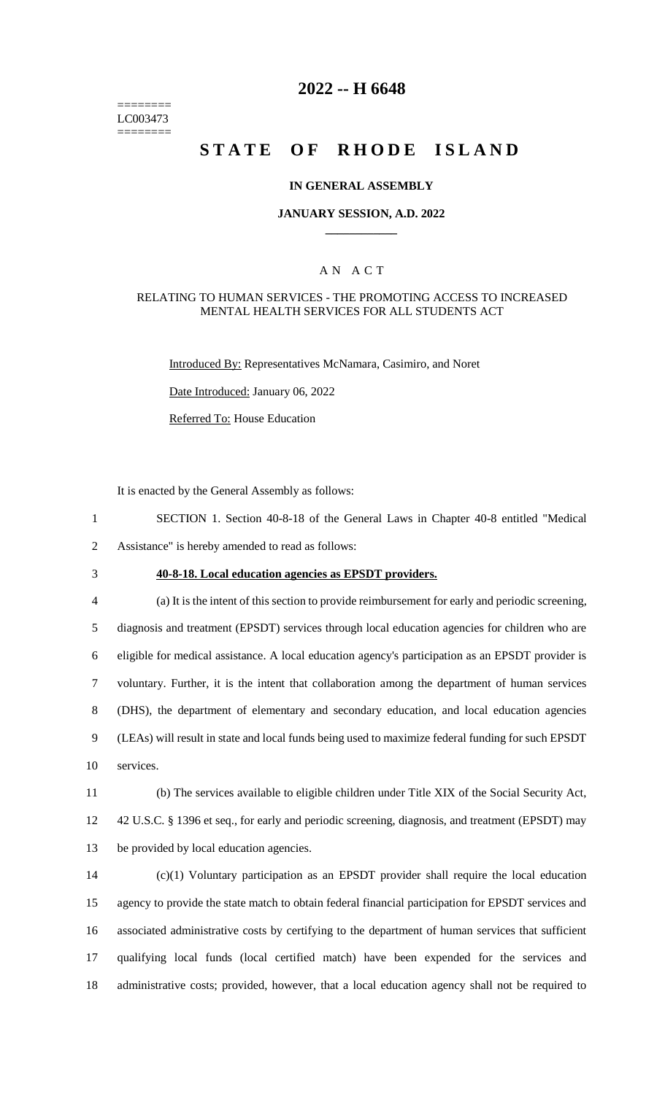======== LC003473 ========

# **2022 -- H 6648**

# **STATE OF RHODE ISLAND**

#### **IN GENERAL ASSEMBLY**

#### **JANUARY SESSION, A.D. 2022 \_\_\_\_\_\_\_\_\_\_\_\_**

### A N A C T

#### RELATING TO HUMAN SERVICES - THE PROMOTING ACCESS TO INCREASED MENTAL HEALTH SERVICES FOR ALL STUDENTS ACT

Introduced By: Representatives McNamara, Casimiro, and Noret

Date Introduced: January 06, 2022

Referred To: House Education

It is enacted by the General Assembly as follows:

1 SECTION 1. Section 40-8-18 of the General Laws in Chapter 40-8 entitled "Medical 2 Assistance" is hereby amended to read as follows:

## 3 **40-8-18. Local education agencies as EPSDT providers.**

 (a) It is the intent of this section to provide reimbursement for early and periodic screening, diagnosis and treatment (EPSDT) services through local education agencies for children who are eligible for medical assistance. A local education agency's participation as an EPSDT provider is voluntary. Further, it is the intent that collaboration among the department of human services (DHS), the department of elementary and secondary education, and local education agencies (LEAs) will result in state and local funds being used to maximize federal funding for such EPSDT services.

11 (b) The services available to eligible children under Title XIX of the Social Security Act, 12 42 U.S.C. § 1396 et seq., for early and periodic screening, diagnosis, and treatment (EPSDT) may 13 be provided by local education agencies.

 (c)(1) Voluntary participation as an EPSDT provider shall require the local education agency to provide the state match to obtain federal financial participation for EPSDT services and associated administrative costs by certifying to the department of human services that sufficient qualifying local funds (local certified match) have been expended for the services and administrative costs; provided, however, that a local education agency shall not be required to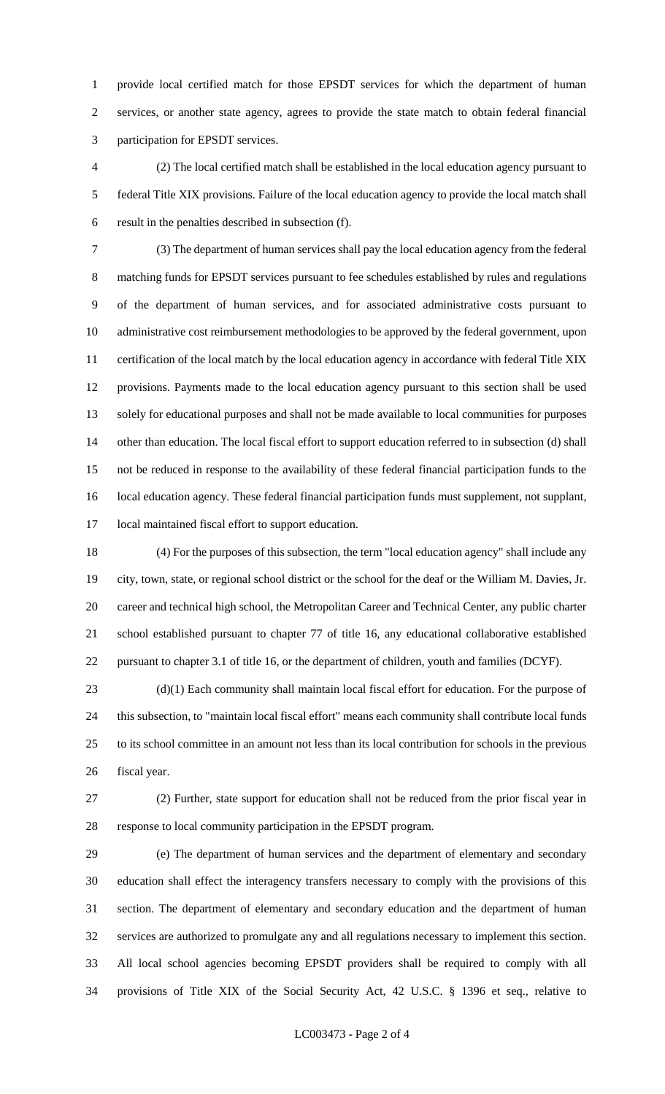provide local certified match for those EPSDT services for which the department of human services, or another state agency, agrees to provide the state match to obtain federal financial participation for EPSDT services.

 (2) The local certified match shall be established in the local education agency pursuant to federal Title XIX provisions. Failure of the local education agency to provide the local match shall result in the penalties described in subsection (f).

 (3) The department of human services shall pay the local education agency from the federal matching funds for EPSDT services pursuant to fee schedules established by rules and regulations of the department of human services, and for associated administrative costs pursuant to administrative cost reimbursement methodologies to be approved by the federal government, upon certification of the local match by the local education agency in accordance with federal Title XIX provisions. Payments made to the local education agency pursuant to this section shall be used solely for educational purposes and shall not be made available to local communities for purposes 14 other than education. The local fiscal effort to support education referred to in subsection (d) shall not be reduced in response to the availability of these federal financial participation funds to the local education agency. These federal financial participation funds must supplement, not supplant, local maintained fiscal effort to support education.

 (4) For the purposes of this subsection, the term "local education agency" shall include any city, town, state, or regional school district or the school for the deaf or the William M. Davies, Jr. career and technical high school, the Metropolitan Career and Technical Center, any public charter school established pursuant to chapter 77 of title 16, any educational collaborative established pursuant to chapter 3.1 of title 16, or the department of children, youth and families (DCYF).

 (d)(1) Each community shall maintain local fiscal effort for education. For the purpose of this subsection, to "maintain local fiscal effort" means each community shall contribute local funds to its school committee in an amount not less than its local contribution for schools in the previous fiscal year.

 (2) Further, state support for education shall not be reduced from the prior fiscal year in response to local community participation in the EPSDT program.

 (e) The department of human services and the department of elementary and secondary education shall effect the interagency transfers necessary to comply with the provisions of this section. The department of elementary and secondary education and the department of human services are authorized to promulgate any and all regulations necessary to implement this section. All local school agencies becoming EPSDT providers shall be required to comply with all provisions of Title XIX of the Social Security Act, 42 U.S.C. § 1396 et seq., relative to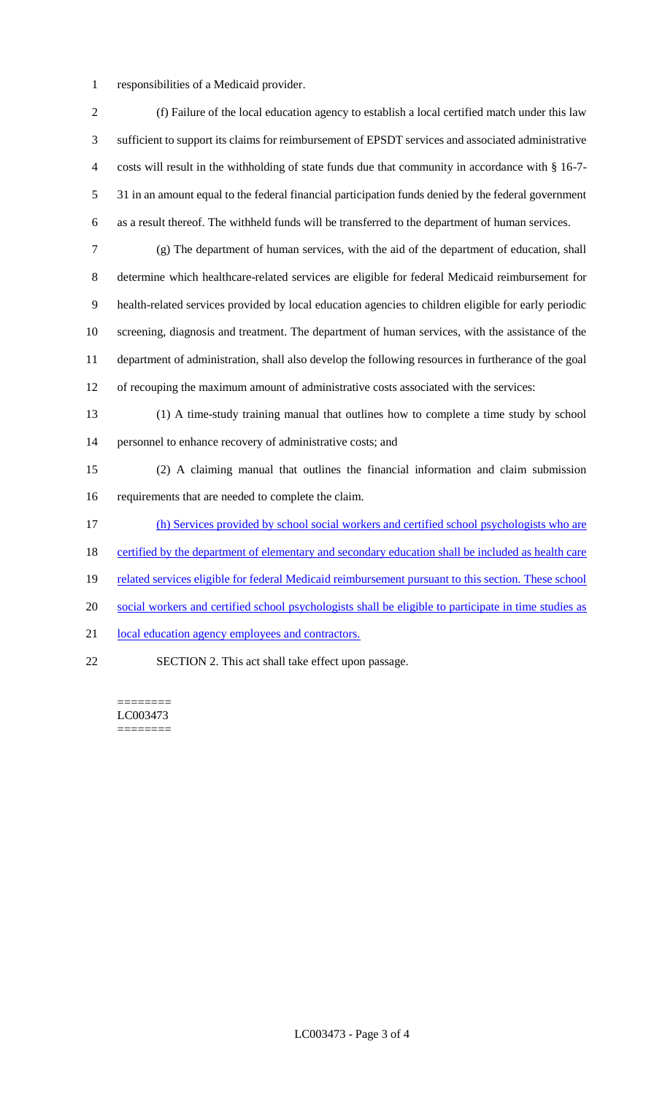- responsibilities of a Medicaid provider.
- (f) Failure of the local education agency to establish a local certified match under this law sufficient to support its claims for reimbursement of EPSDT services and associated administrative costs will result in the withholding of state funds due that community in accordance with § 16-7- 31 in an amount equal to the federal financial participation funds denied by the federal government as a result thereof. The withheld funds will be transferred to the department of human services. (g) The department of human services, with the aid of the department of education, shall determine which healthcare-related services are eligible for federal Medicaid reimbursement for health-related services provided by local education agencies to children eligible for early periodic screening, diagnosis and treatment. The department of human services, with the assistance of the department of administration, shall also develop the following resources in furtherance of the goal of recouping the maximum amount of administrative costs associated with the services: (1) A time-study training manual that outlines how to complete a time study by school personnel to enhance recovery of administrative costs; and (2) A claiming manual that outlines the financial information and claim submission requirements that are needed to complete the claim. (h) Services provided by school social workers and certified school psychologists who are 18 certified by the department of elementary and secondary education shall be included as health care 19 related services eligible for federal Medicaid reimbursement pursuant to this section. These school social workers and certified school psychologists shall be eligible to participate in time studies as 21 local education agency employees and contractors. SECTION 2. This act shall take effect upon passage.

======== LC003473 ========